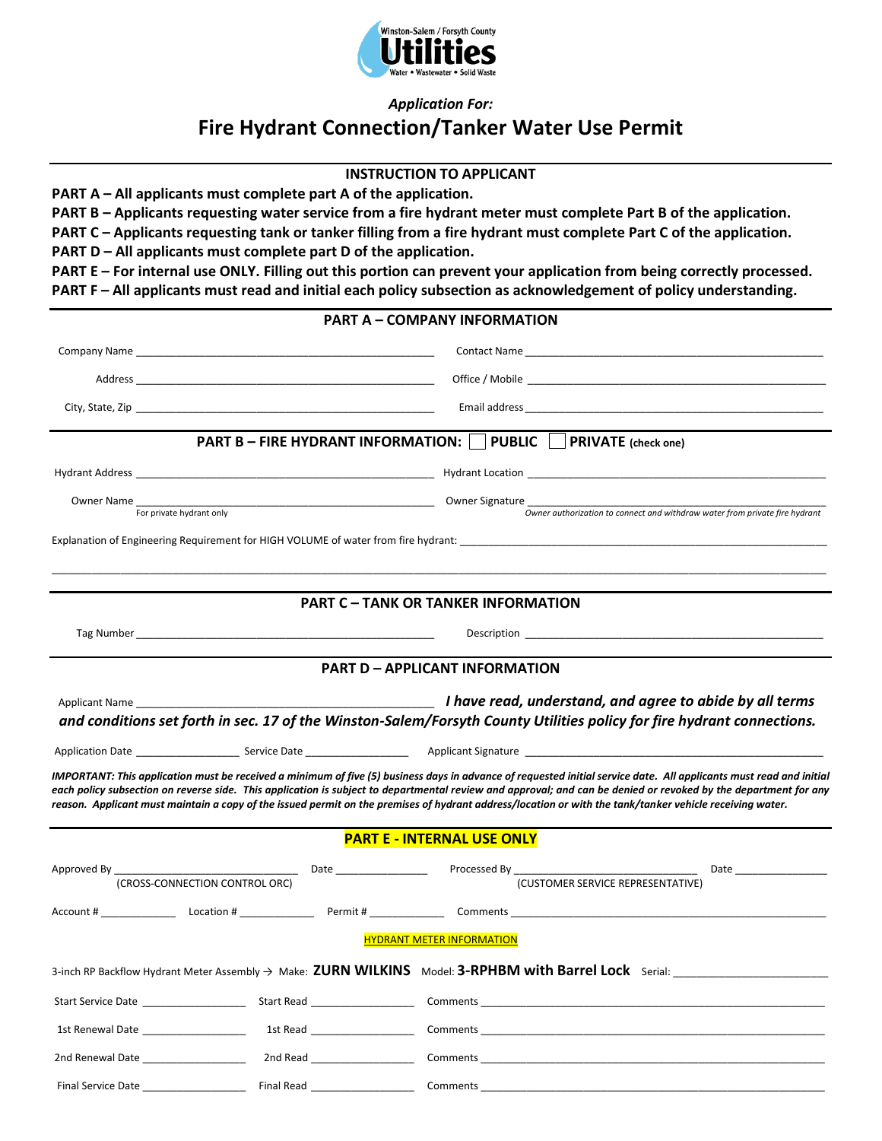

*Application For:*

## **Fire Hydrant Connection/Tanker Water Use Permit**

## **INSTRUCTION TO APPLICANT**

**PART A – All applicants must complete part A of the application.**

**PART B – Applicants requesting water service from a fire hydrant meter must complete Part B of the application.**

**PART C – Applicants requesting tank or tanker filling from a fire hydrant must complete Part C of the application.**

**PART D – All applicants must complete part D of the application.**

**PART E – For internal use ONLY. Filling out this portion can prevent your application from being correctly processed. PART F – All applicants must read and initial each policy subsection as acknowledgement of policy understanding.**

|                                |                                                                                                                                                                                                                                | <b>PART A - COMPANY INFORMATION</b>                                                                                                                                                                                                                                                                                                                                                                                                                                                                                                                                                                                                                                                                        |  |
|--------------------------------|--------------------------------------------------------------------------------------------------------------------------------------------------------------------------------------------------------------------------------|------------------------------------------------------------------------------------------------------------------------------------------------------------------------------------------------------------------------------------------------------------------------------------------------------------------------------------------------------------------------------------------------------------------------------------------------------------------------------------------------------------------------------------------------------------------------------------------------------------------------------------------------------------------------------------------------------------|--|
|                                |                                                                                                                                                                                                                                |                                                                                                                                                                                                                                                                                                                                                                                                                                                                                                                                                                                                                                                                                                            |  |
|                                |                                                                                                                                                                                                                                |                                                                                                                                                                                                                                                                                                                                                                                                                                                                                                                                                                                                                                                                                                            |  |
|                                |                                                                                                                                                                                                                                |                                                                                                                                                                                                                                                                                                                                                                                                                                                                                                                                                                                                                                                                                                            |  |
|                                |                                                                                                                                                                                                                                | <b>PART B - FIRE HYDRANT INFORMATION: PUBLIC   PRIVATE (check one)</b>                                                                                                                                                                                                                                                                                                                                                                                                                                                                                                                                                                                                                                     |  |
|                                |                                                                                                                                                                                                                                | Hydrant Address <b>Exercísia Communication</b> and the Hydrant Location <b>Communication</b> and the Hydrant Location <b>Communication</b> and the Hydrant Location <b>Communication</b> and the Hydrant Location <b>Communication</b> and the Hydrant                                                                                                                                                                                                                                                                                                                                                                                                                                                     |  |
| Owner Name                     |                                                                                                                                                                                                                                | $\overline{r}$ For private hydrant only $\overline{r}$ Dwner Signature $\overline{r}$<br>Owner authorization to connect and withdraw water from private fire hydrant                                                                                                                                                                                                                                                                                                                                                                                                                                                                                                                                       |  |
|                                |                                                                                                                                                                                                                                | Explanation of Engineering Requirement for HIGH VOLUME of water from fire hydrant:                                                                                                                                                                                                                                                                                                                                                                                                                                                                                                                                                                                                                         |  |
|                                |                                                                                                                                                                                                                                |                                                                                                                                                                                                                                                                                                                                                                                                                                                                                                                                                                                                                                                                                                            |  |
|                                |                                                                                                                                                                                                                                | <b>PART C - TANK OR TANKER INFORMATION</b>                                                                                                                                                                                                                                                                                                                                                                                                                                                                                                                                                                                                                                                                 |  |
|                                | Tag Number and the contract of the contract of the contract of the contract of the contract of the contract of the contract of the contract of the contract of the contract of the contract of the contract of the contract of | <b>Description Description</b>                                                                                                                                                                                                                                                                                                                                                                                                                                                                                                                                                                                                                                                                             |  |
|                                |                                                                                                                                                                                                                                | <b>PART D - APPLICANT INFORMATION</b>                                                                                                                                                                                                                                                                                                                                                                                                                                                                                                                                                                                                                                                                      |  |
|                                |                                                                                                                                                                                                                                | <b>Example 20</b> I have read, understand, and agree to abide by all terms<br>and conditions set forth in sec. 17 of the Winston-Salem/Forsyth County Utilities policy for fire hydrant connections.<br>IMPORTANT: This application must be received a minimum of five (5) business days in advance of requested initial service date. All applicants must read and initial<br>each policy subsection on reverse side. This application is subject to departmental review and approval; and can be denied or revoked by the department for any<br>reason. Applicant must maintain a copy of the issued permit on the premises of hydrant address/location or with the tank/tanker vehicle receiving water. |  |
|                                |                                                                                                                                                                                                                                | <b>PART E - INTERNAL USE ONLY</b>                                                                                                                                                                                                                                                                                                                                                                                                                                                                                                                                                                                                                                                                          |  |
| (CROSS-CONNECTION CONTROL ORC) |                                                                                                                                                                                                                                | (CUSTOMER SERVICE REPRESENTATIVE)                                                                                                                                                                                                                                                                                                                                                                                                                                                                                                                                                                                                                                                                          |  |
|                                |                                                                                                                                                                                                                                |                                                                                                                                                                                                                                                                                                                                                                                                                                                                                                                                                                                                                                                                                                            |  |
|                                |                                                                                                                                                                                                                                | <b>HYDRANT METER INFORMATION</b>                                                                                                                                                                                                                                                                                                                                                                                                                                                                                                                                                                                                                                                                           |  |
|                                |                                                                                                                                                                                                                                |                                                                                                                                                                                                                                                                                                                                                                                                                                                                                                                                                                                                                                                                                                            |  |
| Start Service Date             | Start Read _____________________                                                                                                                                                                                               |                                                                                                                                                                                                                                                                                                                                                                                                                                                                                                                                                                                                                                                                                                            |  |
| 1st Renewal Date               | 1st Read ____________________                                                                                                                                                                                                  | <b>Comments</b> <i>Comments</i>                                                                                                                                                                                                                                                                                                                                                                                                                                                                                                                                                                                                                                                                            |  |
| 2nd Renewal Date               | 2nd Read                                                                                                                                                                                                                       |                                                                                                                                                                                                                                                                                                                                                                                                                                                                                                                                                                                                                                                                                                            |  |
| Final Service Date             | Final Read                                                                                                                                                                                                                     |                                                                                                                                                                                                                                                                                                                                                                                                                                                                                                                                                                                                                                                                                                            |  |